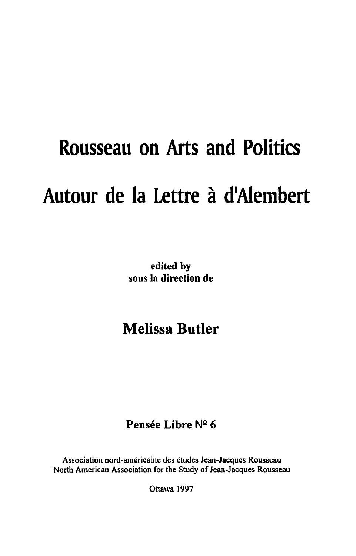# **Rousseau on Arts and Politics Autour de la Lettre a dlAiembert**

edited by sous la direction de

# Melissa **Butler**

# Pensée Libre  $N<sup>2</sup>$  6

Association nord-americaine des etudes Jean-Jacques Rousseau North American Association for the Study of Jean-Jacques Rousseau

Ottawa 1997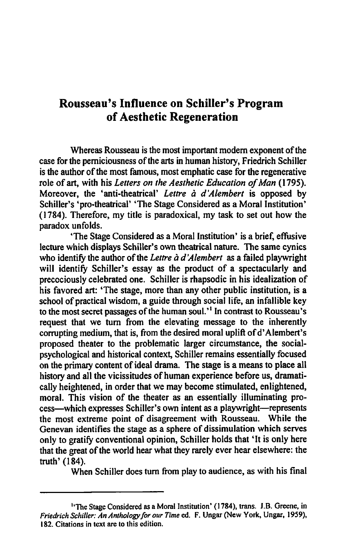## **Rousseau's Influence on Schiller's Program of Aesthetic Regeneration**

Whereas Rousseau is the most important modern exponent of the case for the perniciousness of the arts in human history, Friedrich Schiller is the author of the most famous, most emphatic case for the regenerative role of art, with his *Letters on the Aesthetic Education of Man (1795).*  Moreover, the 'anti-theatrical' *Lettre à d'Alembert* is opposed by Schiller's 'pro-theatrical' 'The Stage Considered as a Moral Institution' (1784). Therefore, my title is paradoxical, my task to set out how the paradox unfolds.

'The Stage Considered as a Moral Institution' is a brief, effusive lecture which displays Schiller's own theatrical nature. The same cynics who identify the author of the *Lettre à d'Alembert* as a failed playwright will identify Schiller's essay as the product of a spectacularly and precociously celebrated one. Schiller is rhapsodic in his idealization of his favored art: 'The stage, more than any other public institution, is a school of practical wisdom, a guide through social life, an infallible key to the most secret passages of the human soul.<sup>1</sup> In contrast to Rousseau's request that we turn from the elevating message to the inherently corrupting medium, that is, from the desired moral uplift of d'Alembert's proposed theater to the problematic larger circumstance, the socialpsychological and historical context, Schiller remains essentially focused on the primary content of ideal drama. The stage is a means to place all history and all the vicissitudes of human experience before us, dramatically heightened, in order that we may become stimulated, enlightened, moral. This vision of the theater as an essentially illuminating process-which expresses Schiller's own intent as a playwright-represents the most extreme point of disagreement with Rousseau. While the Genevan identifies the stage as a sphere of dissimulation which serves only to gratify conventional opinion, Schiller holds that 'It is only here that the great of the world hear what they rarely ever hear elsewhere: the truth' (184).

When Schiller does turn from play to audience, as with his final

<sup>&</sup>lt;sup>1</sup>'The Stage Considered as a Moral Institution' (1784), trans. J.B. Greene, in *Friedrich Schiller: An Anthology for our Time* ed. F. Ungar (New York, Ungar. 1959). 182. Citations in text are to this edition.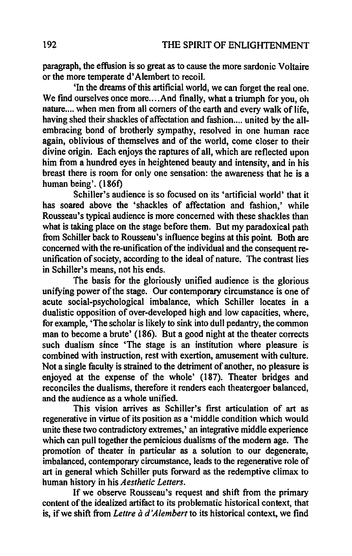paragraph, the effusion is so great as to cause the more sardonic Voltaire or the more temperate d' Alembert to recoil.

'In the dreams of this artificial world, we can forget the real one. We find ourselves once more....And finally, what a triumph for you, oh nature.... when men from all corners of the earth and every walk of life, having shed their shackles of affectation and fashion.... united by the allembracing bond of brotherly sympathy, resolved in one human race again, oblivious of themselves and of the world, come closer to their divine origin. Each enjoys the raptures of all, which are reflected upon him from a hundred eyes in heightened beauty and intensity, and in his breast there is room for only one sensation: the awareness that he is a human being'. (186f)

Schiller's audience is so focused on its 'artificial world' that it has soared above the 'shackles of affectation and fashion,' while Rousseau's typical audience is more concerned with these shackles than what is taking place on the stage before them. But my paradoxical path from Schiller back to Rousseau's influence begins at this point. Both are concerned with the re-unification of the individual and the consequent reunification of society, according to the ideal of nature. The contrast lies in Schiller's means, not his ends.

The basis for the gloriously unified audience is the glorious unifying power of the stage. Our contemporary circumstance is one of acute social-psychological imbalance, which Schiller locates in a dualistic opposition of over-developed high and low capacities, where, for example, 'The scholar is likely to sink into dull pedantry, the common man to become a brute' (186). But a good night at the theater corrects such dualism since 'The stage is an institution where pleasure is combined with instruction, rest with exertion, amusement with culture. Not a single faculty is strained to the detriment of another, no pleasure is enjoyed at the expense of the whole' (187). Theater bridges and reconciles the dualisms, therefore it renders each theatergoer balanced, and the audience as a whole unified.

This vision arrives as Schiller's first articulation of art as regenerative in virtue of its position as a 'middle condition which would unite these two contradictory extremes,' an integrative middle experience which can pull together the pernicious dualisms of the modem age. The promotion of theater in particular as a solution to our degenerate, imbalanced, contemporary circumstance, leads to the regenerative role of art in general which Schiller puts forward as the redemptive climax to human history in his *Aesthetic Letters.* 

If we observe Rousseau's request and shift from the primary content of the idealized artifact to its problematic historical context, that is, if we shift from *Lettre à d'Alembert* to its historical context, we find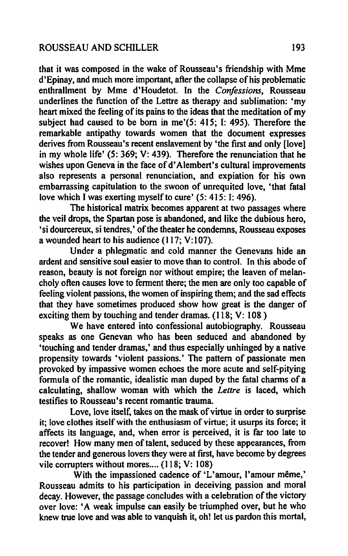that it was composed in the wake of Rousseau's friendship with Mme d'Epinay, and much more important, after the collapse of his problematic enthrallment by Mme d'Houdetot. In the *Confessions*, Rousseau underlines the function of the Lettre as therapy and sublimation: 'my heart mixed the feeling of its pains to the ideas that the meditation of my subject had caused to be born in me'(5: 415; I: 495). Therefore the remarkable antipathy towards women that the document expresses derives from Rousseau's recent enslavement by 'the first and only [love} in my whole life' (5: 369; V: 439). Therefore the renunciation that he wishes upon Geneva in the face of d' Alembert's cultural improvements also represents a personal renunciation, and expiation for his own embarrassing capitulation to the swoon of unrequited love, 'that fatal love which I was exerting myself to cure' (5: 415: I: 496).

The historical matrix becomes apparent at two passages where the veil drops, the Spartan pose is abandoned, and like the dubious hero, 'si dourcereux, si tendres,' of the theater he condemns, Rousseau exposes a wounded heart to his audience  $(117; V:107)$ .

Under a phlegmatic and cold manner the Genevans hide an ardent and sensitive soul easier to move than to control. In this abode of reason, beauty is not foreign nor without empire; the leaven of melancholy often causes love to ferment there; the men are only too capable of feeling violent passions, the women of inspiring them; and the sad effects that they have sometimes produced show how great is the danger of exciting them by touching and tender dramas. (118; V: 108 )

We have entered into confessional autobiography. Rousseau speaks as one Genevan who has been seduced and abandoned by 'touching and tender dramas,' and thus especially unhinged by a native propensity towards 'violent passions.' The pattern of passionate men provoked by impassive women echoes the more acute and self-pitying formula of the romantic, idealistic man duped by the fatal charms of a calculating, shallow woman with which the *Letlre* is laced, which testifies to Rousseau's recent romantic trauma.

Love, love itself, takes on the mask of virtue in order to surprise it; love clothes itself with the enthusiasm of virtue; it usurps its force; it affects its language, and, when error is perceived, it is far too late to recover! How many men of talent, seduced by these appearances, from the tender and generous lovers they were at first, have become by degrees vile corrupters without mores....  $(118; V: 108)$ 

With the impassioned cadence of 'L'amour, I'amour même,' Rousseau admits to his participation in deceiving passion and moral decay. However, the passage concludes with a celebration of the victory over love: 'A weak impulse can easily be triumphed over, but he who knew true love and was able to vanquish it, oh! let us pardon this mortal,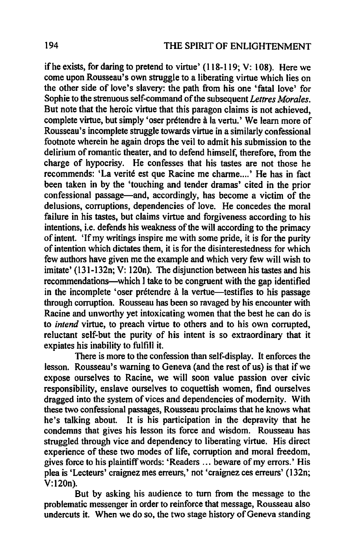ifhe exists, for daring to pretend to virtue' (118-119; V: 108). Here we come upon Rousseau's own struggle to a liberating virtue which lies on the other side of love's slavery: the path from his one 'fatal love' for Sophie to the strenuous self-command of the subsequent *Letlres Morales.*  But note that the heroic virtue that this paragon claims is not achieved, complete virtue, but simply 'oser prétendre à la vertu.' We learn more of Rousseau's incomplete struggle towards virtue in a similarly confessional footnote wherein he again drops the veil to admit his submission to the delirium of romantic theater, and to defend himself, therefore, from the charge of hypocrisy. He confesses that his tastes are not those he recommends: 'La verité est que Racine me charme....' He has in fact been taken in by the 'touching and tender dramas' cited in the prior confessional passage-and, accordingly, has become a victim of the delusions, corruptions, dependencies of love. He concedes the moral failure in his tastes, but claims virtue and forgiveness according to his intentions, i.e. defends his weakness of the will according to the primacy of intent. 'If my writings inspire me with some pride, it is for the purity of intention which dictates them, it is for the disinterestedness for which few authors have given me the example and which very few will wish to imitate' (131-132n; V: 120n). The disjunction between his tastes and his recommendations—which I take to be congruent with the gap identified in the incomplete 'oser prétendre à la vertue—testifies to his passage through corruption. Rousseau has been so ravaged by his encounter with Racine and unworthy yet intoxicating women that the best he can do is to *intend* virtue, to preach virtue to others and to his own corrupted, reluctant self-but the purity of his intent is so extraordinary that it expiates his inability to fulfill it.

There is more to the confession than self-display. It enforces the lesson. Rousseau's warning to Geneva (and the rest of us) is that if we expose ourselves to Racine, we will soon value passion over civic responsibility, enslave ourselves to coquettish women, find ourselves dragged into the system of vices and dependencies of modernity. With these two confessional passages, Rousseau proclaims that he knows what he's talking about. It is his participation in the depravity that he condemns that gives his lesson its force and wisdom. Rousseau has struggled through vice and dependency to liberating virtue. His direct experience of these two modes of life, corruption and moral freedom, gives force to his plaintiff words: 'Readers ... beware of my errors.' His plea is 'Lecteurs' craignez mes erreurs,' not 'craignez ces erreurs' (132n; V:120n).

But by asking his audience to turn from the message to the problematic messenger in order to reinforce that message, Rousseau also undercuts it. When we do so, the two stage history of Geneva standing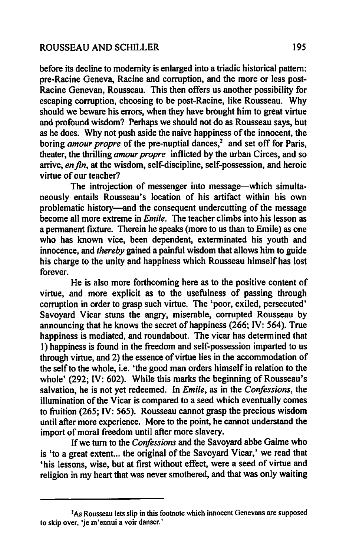#### ROUSSEAU AND SCHILLER 195

before its decline to modernity is enlarged into a triadic historical pattern: pre-Racine Geneva, Racine and corruption, and the more or less post-Racine Genevan, Rousseau. This then offers us another possibility for escaping corruption, choosing to be post-Racine, like Rousseau. Why should we beware his errors, when they have brought him to great virtue and profound wisdom? Perhaps we should not do as Rousseau says, but as he does. Why not push aside the naive happiness of the innocent, the boring *amour propre* of the pre-nuptial dances,<sup>2</sup> and set off for Paris, theater, the thrilling *amour propre* inflicted by the urban Circes, and so arrive, *en fin*, at the wisdom, self-discipline, self-possession, and heroic virtue of our teacher?

The introjection of messenger into message—which simultaneously entails Rousseau's location of his artifact within his own problematic history-and the consequent undercutting of the message become all more extreme in *Emile.* The teacher climbs into his lesson as a permanent fixture. Therein he speaks (more to us than to Emile) as one who has known vice, been dependent, exterminated his youth and innocence, and *thereby* gained a painful wisdom that allows him to guide his charge to the unity and happiness which Rousseau himself has lost forever.

He is also more forthcoming here as to the positive content of virtue, and more explicit as to the usefulness of passing through corruption in order to grasp such virtue. The 'poor, exiled, persecuted' Savoyard Vicar stuns the angry, miserable, corrupted Rousseau by announcing that he knows the secret of happiness (266; IV: 564). True happiness is mediated, and roundabout. The vicar has determined that I) happiness is found in the freedom and self-possession imparted to us through virtue, and 2) the essence of virtue lies in the accommodation of the self to the whole, i.e. 'the good man orders himself in relation to the whole' (292; IV: 602). While this marks the beginning of Rousseau's salvation, he is not yet redeemed. In *Emile,* as in the *Confossions,* the illumination of the Vicar is compared to a seed which eventually comes to fruition (265; IV: 565). Rousseau cannot grasp the precious wisdom until after more experience. More to the point, he cannot understand the import of moral freedom until after more slavery.

If we turn to the *Confessions* and the Savoyard abbe Gaime who is 'to a great extent... the original of the Savoyard Vicar,' we read that 'his lessons, wise, but at first without effect, were a seed of virtue and religion in my heart that was never smothered, and that was only waiting

<sup>&</sup>lt;sup>2</sup>As Rousseau lets slip in this footnote which innocent Genevans are supposed to skip over, 'je m'ennui a voir danser.'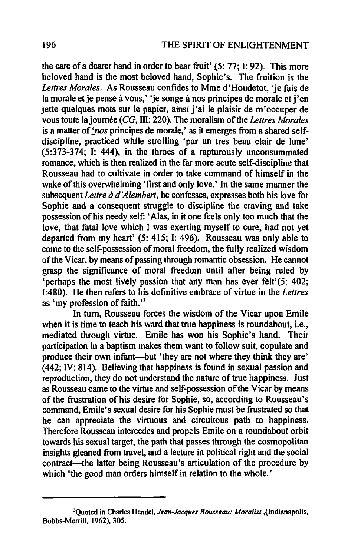the care of a dearer hand in order to bear fruit'  $(5: 77; I: 92)$ . This more beloved hand is the most beloved hand, Sophie's. The fruition is the *Letlres Morales.* As Rousseau confides to Mme d'Houdetot, 'je fais de la morale et je pense à vous,' 'je songe à nos principes de morale et j'en jette quelques mots sur Ie papier, ainsi j'ai Ie plaisir de m'occuper de vous toute la journée (CG, III: 220). The moralism of the *Lettres Morales* is a matter of 'nos principes de morale,' as it emerges from a shared selfdiscipline, practiced while strolling 'par un tres beau clair de lune' (5:373-374; I: 444), in the throes of a rapturously unconsummated romance, which is then realized in the far more acute self-discipline that Rousseau had to cultivate in order to take command of himself in the wake of this overwhelming 'first and only love.' In the same manner the subsequent *Lettre à d'Alembert*, he confesses, expresses both his love for Sophie and a consequent struggle to discipline the craving and take possession of his needy self: 'Alas, in it one feels only too much that the love, that fatal love which I was exerting myself to cure, had not yet departed from my heart' (5: 415; 1: 496). Rousseau was only able to come to the self-possession of moral freedom, the fully realized wisdom of the Vicar, by means of passing through romantic obsession. He cannot grasp the significance of moral freedom until after being ruled by 'perhaps the most lively passion that any man has ever felt'(5: 402; 1:480). He then refers to his definitive embrace of virtue in the *Lettres*  as 'my profession of faith.'<sup>3</sup>

In turn, Rousseau forces the wisdom of the Vicar upon Emile when it is time to teach his ward that true happiness is roundabout, *i.e.*, mediated through virtue. Emile has won his Sophie's hand. Their participation in a baptism makes them want to follow suit, copulate and produce their own infant---but 'they are not where they think they are' (442; IV: 814). Believing that happiness is found in sexual passion and reproduction, they do not understand the nature of true happiness. Just as Rousseau came to the virtue and self-possession of the Vicar by means of the frustration of his desire for Sophie, so, according to Rousseau's command, Emile's sexual desire for his Sophie must be frustrated so that he can appreciate the virtuous and circuitous path to happiness. Therefore Rousseau intercedes and propels Emile on a roundabout orbit towards his sexual target, the path that passes through the cosmopolitan insights gleaned from travel, and a lecture in political right and the social contract—the latter being Rousseau's articulation of the procedure by which 'the good man orders himself in relation to the whole.'

<sup>3</sup>Quotcd in Charles Hendel. *Jean-Jacques Rousseau: Moralist* .(Indianapolis. Bobbs-Merrill. 1962). 305.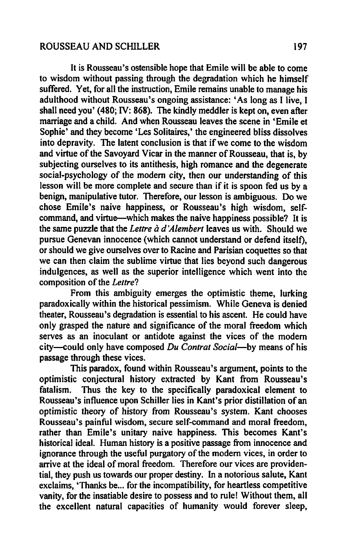#### ROUSSEAU AND SCHILLER 197

It is Rousseau's ostensible hope that Emile will be able to come to wisdom without passing through the degradation which he himself suffered. Yet, for all the instruction, Emile remains unable to manage his adulthood without Rousseau's ongoing assistance: 'As long as I live, I shall need you' (480; IV: 868). The kindly meddler is kept on, even after marriage and a child. And when Rousseau leaves the scene in 'Emile et Sophie' and they become 'Les Solitaires,' the engineered bliss dissolves into depravity. The latent conclusion is that if we come to the wisdom and virtue of the Savoyard Vicar in the manner of Rousseau, that is, by subjecting ourselves to its antithesis, high romance and the degenerate social-psychology of the modem city, then our understanding of this lesson will be more complete and secure than if it is spoon fed us by a benign, manipulative tutor. Therefore, our lesson is ambiguous. Do we chose Emile's naive happiness, or Rousseau's high wisdom, selfcommand, and virtue—which makes the naive happiness possible? It is the same puzzle that the *Lettre a d 'Alembert* leaves us with. Should we pursue Genevan innocence (which cannot understand or defend itself), or should we give ourselves over to Racine and Parisian coquettes so that we can then claim the sublime virtue that lies beyond such dangerous indulgences, as well as the superior intelligence which went into the composition of the *Lettre?* 

From this ambiguity emerges the optimistic theme, lurking paradoxically within the historical pessimism. While Geneva is denied theater, Rousseau's degradation is essential to his ascent. He could have only grasped the nature and significance of the moral freedom which serves as an inoculant or antidote against the vices of the modem city-could only have composed *Du Contrat Social-by* means of his passage through these vices.

This paradox, found within Rousseau's argument, points to the optimistic conjectural history extracted by Kant from Rousseau's fatalism. Thus the key to the specifically paradoxical element to Rousseau's influence upon Schiller lies in Kant's prior distillation of an optimistic theory of history from Rousseau's system. Kant chooses Rousseau's painful wisdom, secure self-command and moral freedom, rather than Emile's unitary naive happiness. This becomes Kant's historical ideal. Human history is a positive passage from innocence and ignorance through the useful purgatory of the modem vices, in order to arrive at the ideal of moral freedom. Therefore our vices are providential, they push us towards our proper destiny. In a notorious salute, Kant exclaims, 'Thanks be... for the incompatibility, for heartless competitive vanity, for the insatiable desire to possess and to rule! Without them, all the excellent natural capacities of humanity would forever sleep,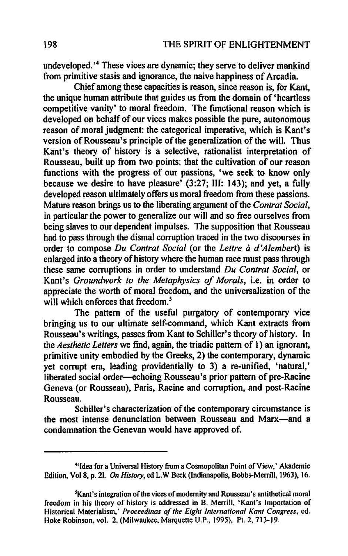undeveloped.<sup>4</sup> These vices are dynamic; they serve to deliver mankind from primitive stasis and ignorance, the naive happiness of Arcadia.

Chief among these capacities is reason, since reason is, for Kant, the unique human attribute that guides us from the domain of 'heartless competitive vanity' to moral freedom. The functional reason which is developed on behalf of our vices makes possible the pure, autonomous reason of moral judgment: the categorical imperative, which is Kant's version of Rousseau's principle of the generalization of the will. Thus Kant's theory of history is a selective, rationalist interpretation of Rousseau, built up from two points: that the cultivation of our reason functions with the progress of our passions, 'we seek to know only because we desire to have pleasure' (3:27; III: 143); and yet, a fully developed reason ultimately offers us moral freedom from these passions. Mature reason brings us to the liberating argument of the *Contra! Social,*  in particular the power to generalize our will and so free ourselves from being slaves to our dependent impulses. The supposition that Rousseau had to pass through the dismal corruption traced in the two discourses in order to compose *Du Contrat Social* (or the *Lettre a d'Alembert)* is enlarged into a theory of history where the human race must pass through these same corruptions in order to understand *Du Contrat Social,* or Kant's *Groundwork to the Metaphysics of Morals,* i.e. in order to appreciate the worth of moral freedom, and the universalization of the will which enforces that freedom.<sup>5</sup>

The pattern of the useful purgatory of contemporary vice bringing us to our ultimate self-command, which Kant extracts from Rousseau's writings, passes from Kant to Schiller's theory of history. In the *Aesthetic Letters* we find, again, the triadic pattern of I) an ignorant, primitive unity embodied by the Greeks, 2) the contemporary, dynamic yet corrupt era, leading providentially to 3) a re-unified, 'natural,' liberated social order-echoing Rousseau's prior pattern of pre-Racine Geneva (or Rousseau), Paris, Racine and corruption, and post-Racine Rousseau.

Schiller's characterization of the contemporary circumstance is the most intense denunciation between Rousseau and Marx-and a condemnation the Genevan would have approved of.

<sup>4&#</sup>x27;Idea for a Universal History from a Cosmopolitan Point of View, ' Akademie Edition, Vol 8, p. 21. *On History,* ed L. W Beck (Indianapolis, Babbs-Merrill, 1963), 16.

<sup>&</sup>lt;sup>5</sup>Kant's integration of the vices of modernity and Rousseau's antithetical moral freedom in his theory of history is addressed in B. Merrill, 'Kant's Importation of Historical Materialism,' *Proceedinas of the Eight international Kant Congress,* ed. Hoke Robinson, vol. 2, (Milwaukee, Marquette U.P., 1995), Pt. 2, 713-19.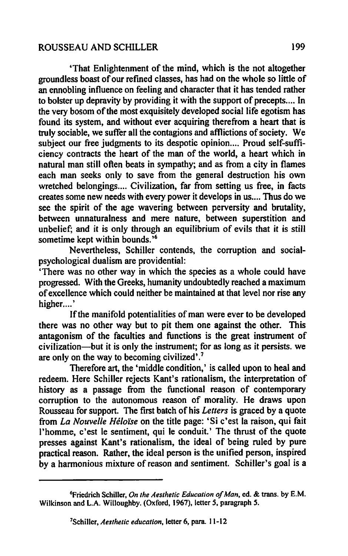### ROUSSEAU AND SCHILLER 199

'That Enlightenment of the mind, which is the not altogether groundless boast of our refined classes, has had on the whole so little of an ennobling influence on feeling and character that it has tended rather to bolster up depravity by providing it with the support of precepts.... In the very bosom of the most exquisitely developed social life egotism has found its system, and without ever acquiring therefrom a heart that is truly sociable, we suffer all the contagions and afflictions of society. We subject our free judgments to its despotic opinion.... Proud self-sufficiency contracts the heart of the man of the world, a heart which in natural man still often beats in sympathy; and as from a city in flames each man seeks only to save from the general destruction his own wretched belongings.... Civilization, far from setting us free, in facts creates some new needs with every power it develops in us .... Thus do we see the spirit of the age wavering between perversity and brutality, between unnaturalness and mere nature, between superstition and unbelief; and it is only through an equilibrium of evils that it is still sometime kept within bounds.<sup>56</sup>

Nevertheless, Schiller contends, the corruption and socialpsychological dualism are providential:

'There was no other way in which the species as a whole could have progressed. With the Greeks, humanity undoubtedly reached a maximum of excellence which could neither be maintained at that level nor rise any higher....'

If the manifold potentialities of man were ever to be developed there was no other way but to pit them one against the other. This antagonism of the faculties and functions is the great instrument of civilization-but it is only the instrument; for as long as it persists. we are only on the way to becoming civilized'.7

Therefore art, the 'middle condition,' is called upon to heal and redeem. Here Schiller rejects Kant's rationalism, the interpretation of history as a passage from the functional reason of contemporary corruption to the autonomous reason of morality. He draws upon Rousseau for support. The first batch of his *Letters* is graced by a quote from *La Nouvelle He/olse* on the title page: 'Si c'est la raison, qui fait I'homme, c'est Ie sentiment, qui Ie conduit.' The thrust of the quote presses against Kant's rationalism, the ideal of being ruled by pure practical reason. Rather, the ideal person is the unified person, inspired by a harmonious mixture of reason and sentiment. Schiller's goal is a

<sup>6</sup>Friedrich Schiller, *On the Aesthetic Education of Man,* ed. & trans. by E.M. Wilkinson and L.A. Willoughby. (Oxford, 1967), letter 5, paragraph 5.